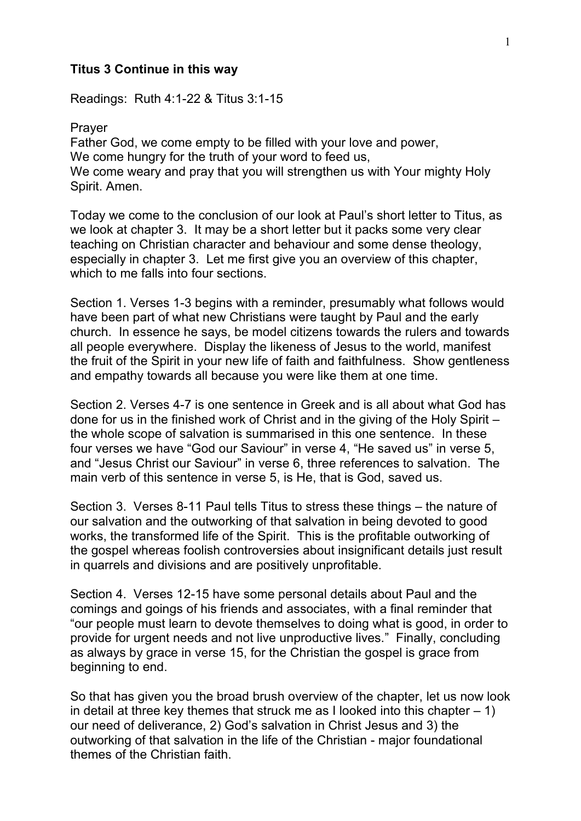## **Titus 3 Continue in this way**

Readings: Ruth 4:1-22 & Titus 3:1-15

Prayer Father God, we come empty to be filled with your love and power, We come hungry for the truth of your word to feed us, We come weary and pray that you will strengthen us with Your mighty Holy Spirit. Amen.

Today we come to the conclusion of our look at Paul's short letter to Titus, as we look at chapter 3. It may be a short letter but it packs some very clear teaching on Christian character and behaviour and some dense theology, especially in chapter 3. Let me first give you an overview of this chapter, which to me falls into four sections.

Section 1. Verses 1-3 begins with a reminder, presumably what follows would have been part of what new Christians were taught by Paul and the early church. In essence he says, be model citizens towards the rulers and towards all people everywhere. Display the likeness of Jesus to the world, manifest the fruit of the Spirit in your new life of faith and faithfulness. Show gentleness and empathy towards all because you were like them at one time.

Section 2. Verses 4-7 is one sentence in Greek and is all about what God has done for us in the finished work of Christ and in the giving of the Holy Spirit – the whole scope of salvation is summarised in this one sentence. In these four verses we have "God our Saviour" in verse 4, "He saved us" in verse 5, and "Jesus Christ our Saviour" in verse 6, three references to salvation. The main verb of this sentence in verse 5, is He, that is God, saved us.

Section 3. Verses 8-11 Paul tells Titus to stress these things – the nature of our salvation and the outworking of that salvation in being devoted to good works, the transformed life of the Spirit. This is the profitable outworking of the gospel whereas foolish controversies about insignificant details just result in quarrels and divisions and are positively unprofitable.

Section 4. Verses 12-15 have some personal details about Paul and the comings and goings of his friends and associates, with a final reminder that "our people must learn to devote themselves to doing what is good, in order to provide for urgent needs and not live unproductive lives." Finally, concluding as always by grace in verse 15, for the Christian the gospel is grace from beginning to end.

So that has given you the broad brush overview of the chapter, let us now look in detail at three key themes that struck me as I looked into this chapter  $-1$ ) our need of deliverance, 2) God's salvation in Christ Jesus and 3) the outworking of that salvation in the life of the Christian - major foundational themes of the Christian faith.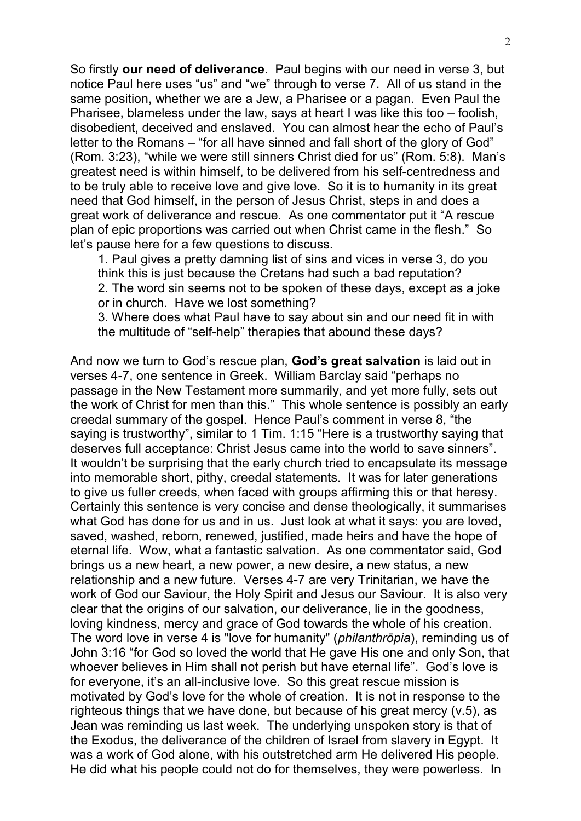So firstly **our need of deliverance**. Paul begins with our need in verse 3, but notice Paul here uses "us" and "we" through to verse 7. All of us stand in the same position, whether we are a Jew, a Pharisee or a pagan. Even Paul the Pharisee, blameless under the law, says at heart I was like this too – foolish, disobedient, deceived and enslaved. You can almost hear the echo of Paul's letter to the Romans – "for all have sinned and fall short of the glory of God" (Rom. 3:23), "while we were still sinners Christ died for us" (Rom. 5:8). Man's greatest need is within himself, to be delivered from his self-centredness and to be truly able to receive love and give love. So it is to humanity in its great need that God himself, in the person of Jesus Christ, steps in and does a great work of deliverance and rescue. As one commentator put it "A rescue plan of epic proportions was carried out when Christ came in the flesh." So let's pause here for a few questions to discuss.

1. Paul gives a pretty damning list of sins and vices in verse 3, do you think this is just because the Cretans had such a bad reputation? 2. The word sin seems not to be spoken of these days, except as a joke or in church. Have we lost something?

3. Where does what Paul have to say about sin and our need fit in with the multitude of "self-help" therapies that abound these days?

And now we turn to God's rescue plan, **God's great salvation** is laid out in verses 4-7, one sentence in Greek. William Barclay said "perhaps no passage in the New Testament more summarily, and yet more fully, sets out the work of Christ for men than this." This whole sentence is possibly an early creedal summary of the gospel. Hence Paul's comment in verse 8, "the saying is trustworthy", similar to 1 Tim. 1:15 "Here is a trustworthy saying that deserves full acceptance: Christ Jesus came into the world to save sinners". It wouldn't be surprising that the early church tried to encapsulate its message into memorable short, pithy, creedal statements. It was for later generations to give us fuller creeds, when faced with groups affirming this or that heresy. Certainly this sentence is very concise and dense theologically, it summarises what God has done for us and in us. Just look at what it says: you are loved. saved, washed, reborn, renewed, justified, made heirs and have the hope of eternal life. Wow, what a fantastic salvation. As one commentator said, God brings us a new heart, a new power, a new desire, a new status, a new relationship and a new future. Verses 4-7 are very Trinitarian, we have the work of God our Saviour, the Holy Spirit and Jesus our Saviour. It is also very clear that the origins of our salvation, our deliverance, lie in the goodness, loving kindness, mercy and grace of God towards the whole of his creation. The word love in verse 4 is "love for humanity" (*philanthrōpia*), reminding us of John 3:16 "for God so loved the world that He gave His one and only Son, that whoever believes in Him shall not perish but have eternal life". God's love is for everyone, it's an all-inclusive love. So this great rescue mission is motivated by God's love for the whole of creation. It is not in response to the righteous things that we have done, but because of his great mercy (v.5), as Jean was reminding us last week. The underlying unspoken story is that of the Exodus, the deliverance of the children of Israel from slavery in Egypt. It was a work of God alone, with his outstretched arm He delivered His people. He did what his people could not do for themselves, they were powerless. In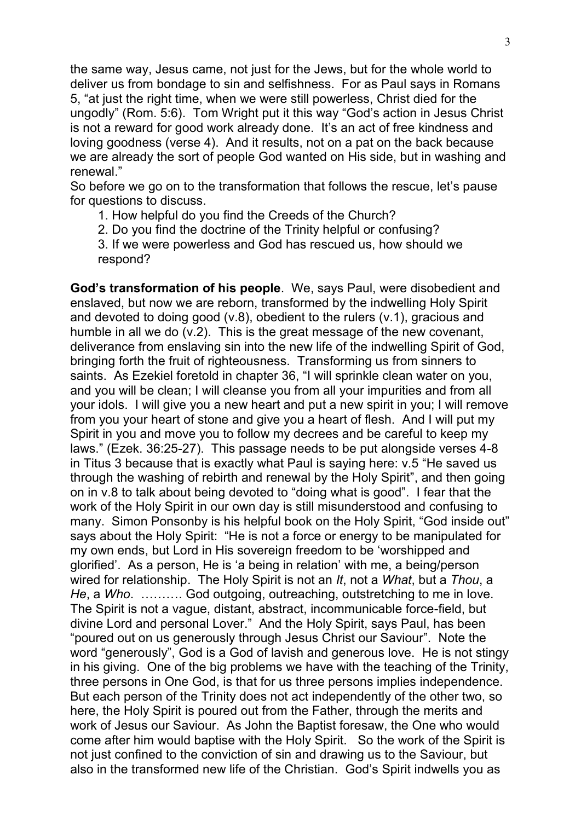the same way, Jesus came, not just for the Jews, but for the whole world to deliver us from bondage to sin and selfishness. For as Paul says in Romans 5, "at just the right time, when we were still powerless, Christ died for the ungodly" (Rom. 5:6). Tom Wright put it this way "God's action in Jesus Christ is not a reward for good work already done. It's an act of free kindness and loving goodness (verse 4). And it results, not on a pat on the back because we are already the sort of people God wanted on His side, but in washing and renewal."

So before we go on to the transformation that follows the rescue, let's pause for questions to discuss.

- 1. How helpful do you find the Creeds of the Church?
- 2. Do you find the doctrine of the Trinity helpful or confusing?

3. If we were powerless and God has rescued us, how should we respond?

**God's transformation of his people**. We, says Paul, were disobedient and enslaved, but now we are reborn, transformed by the indwelling Holy Spirit and devoted to doing good (v.8), obedient to the rulers (v.1), gracious and humble in all we do (v.2). This is the great message of the new covenant, deliverance from enslaving sin into the new life of the indwelling Spirit of God, bringing forth the fruit of righteousness. Transforming us from sinners to saints. As Ezekiel foretold in chapter 36, "I will sprinkle clean water on you, and you will be clean; I will cleanse you from all your impurities and from all your idols. I will give you a new heart and put a new spirit in you; I will remove from you your heart of stone and give you a heart of flesh. And I will put my Spirit in you and move you to follow my decrees and be careful to keep my laws." (Ezek. 36:25-27). This passage needs to be put alongside verses 4-8 in Titus 3 because that is exactly what Paul is saying here: v.5 "He saved us through the washing of rebirth and renewal by the Holy Spirit", and then going on in v.8 to talk about being devoted to "doing what is good". I fear that the work of the Holy Spirit in our own day is still misunderstood and confusing to many. Simon Ponsonby is his helpful book on the Holy Spirit, "God inside out" says about the Holy Spirit: "He is not a force or energy to be manipulated for my own ends, but Lord in His sovereign freedom to be 'worshipped and glorified'. As a person, He is 'a being in relation' with me, a being/person wired for relationship. The Holy Spirit is not an *It*, not a *What*, but a *Thou*, a *He*, a *Who*. ………. God outgoing, outreaching, outstretching to me in love. The Spirit is not a vague, distant, abstract, incommunicable force-field, but divine Lord and personal Lover." And the Holy Spirit, says Paul, has been "poured out on us generously through Jesus Christ our Saviour". Note the word "generously", God is a God of lavish and generous love. He is not stingy in his giving. One of the big problems we have with the teaching of the Trinity, three persons in One God, is that for us three persons implies independence. But each person of the Trinity does not act independently of the other two, so here, the Holy Spirit is poured out from the Father, through the merits and work of Jesus our Saviour. As John the Baptist foresaw, the One who would come after him would baptise with the Holy Spirit. So the work of the Spirit is not just confined to the conviction of sin and drawing us to the Saviour, but also in the transformed new life of the Christian. God's Spirit indwells you as